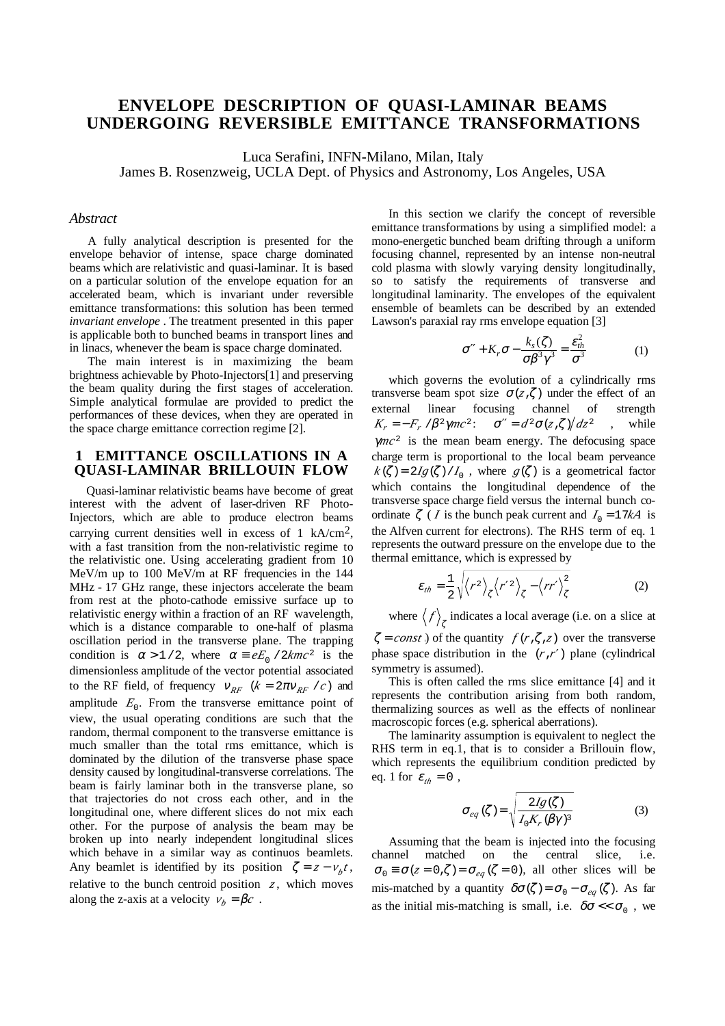# **ENVELOPE DESCRIPTION OF QUASI-LAMINAR BEAMS UNDERGOING REVERSIBLE EMITTANCE TRANSFORMATIONS**

Luca Serafini, INFN-Milano, Milan, Italy

James B. Rosenzweig, UCLA Dept. of Physics and Astronomy, Los Angeles, USA

#### *Abstract*

A fully analytical description is presented for the envelope behavior of intense, space charge dominated beams which are relativistic and quasi-laminar. It is based on a particular solution of the envelope equation for an accelerated beam, which is invariant under reversible emittance transformations: this solution has been termed *invariant envelope* . The treatment presented in this paper is applicable both to bunched beams in transport lines and in linacs, whenever the beam is space charge dominated.

The main interest is in maximizing the beam brightness achievable by Photo-Injectors[1] and preserving the beam quality during the first stages of acceleration. Simple analytical formulae are provided to predict the performances of these devices, when they are operated in the space charge emittance correction regime [2].

# **1 EMITTANCE OSCILLATIONS IN A QUASI-LAMINAR BRILLOUIN FLOW**

Quasi-laminar relativistic beams have become of great interest with the advent of laser-driven RF Photo-Injectors, which are able to produce electron beams carrying current densities well in excess of 1 kA/cm<sup>2</sup>, with a fast transition from the non-relativistic regime to the relativistic one. Using accelerating gradient from 10 MeV/m up to 100 MeV/m at RF frequencies in the 144 MHz - 17 GHz range, these injectors accelerate the beam from rest at the photo-cathode emissive surface up to relativistic energy within a fraction of an RF wavelength, which is a distance comparable to one-half of plasma oscillation period in the transverse plane. The trapping condition is  $\alpha > 1/2$ , where  $\alpha = eE_0 / 2kmc^2$  is the dimensionless amplitude of the vector potential associated to the RF field, of frequency  $V_{RF}$   $(k = 2\pi V_{RF}/c)$  and amplitude  $E_0$ . From the transverse emittance point of view, the usual operating conditions are such that the random, thermal component to the transverse emittance is much smaller than the total rms emittance, which is dominated by the dilution of the transverse phase space density caused by longitudinal-transverse correlations. The beam is fairly laminar both in the transverse plane, so that trajectories do not cross each other, and in the longitudinal one, where different slices do not mix each other. For the purpose of analysis the beam may be broken up into nearly independent longitudinal slices which behave in a similar way as continuos beamlets. Any beamlet is identified by its position  $\zeta = z - v_b t$ , relative to the bunch centroid position  $z$ , which moves along the z-axis at a velocity  $v_b = \beta c$ .

In this section we clarify the concept of reversible emittance transformations by using a simplified model: a mono-energetic bunched beam drifting through a uniform focusing channel, represented by an intense non-neutral cold plasma with slowly varying density longitudinally, so to satisfy the requirements of transverse and longitudinal laminarity. The envelopes of the equivalent ensemble of beamlets can be described by an extended Lawson's paraxial ray rms envelope equation [3]

$$
\sigma'' + K_r \sigma - \frac{k_s(\zeta)}{\sigma \beta^3 \gamma^3} = \frac{\varepsilon_h^2}{\sigma^3}
$$
 (1)

which governs the evolution of a cylindrically rms transverse beam spot size  $\sigma(z,\zeta)$  under the effect of an external linear focusing channel of strength  $K_r = -F_r / \beta^2 \gamma mc^2$ :  $\sigma'' = d^2 \sigma \left( z \right) / dz^2$ , while γ*mc*<sup>2</sup> is the mean beam energy. The defocusing space charge term is proportional to the local beam perveance  $k(\zeta) = 2Ig(\zeta)/I_0$ , where  $g(\zeta)$  is a geometrical factor which contains the longitudinal dependence of the transverse space charge field versus the internal bunch coordinate  $\zeta$  (*I* is the bunch peak current and  $I_0 = 17kA$  is the Alfven current for electrons). The RHS term of eq. 1 represents the outward pressure on the envelope due to the thermal emittance, which is expressed by

$$
\varepsilon_{th} = \frac{1}{2} \sqrt{\langle r^2 \rangle_{\zeta} \langle r'^2 \rangle_{\zeta} - \langle rr' \rangle_{\zeta}^2}
$$
 (2)

where  $\langle f \rangle_{\zeta}$  indicates a local average (i.e. on a slice at  $\zeta = const$ ) of the quantity  $f(r,\zeta,\zeta)$  over the transverse phase space distribution in the (*r*,*r*′) plane (cylindrical

symmetry is assumed). This is often called the rms slice emittance [4] and it represents the contribution arising from both random, thermalizing sources as well as the effects of nonlinear macroscopic forces (e.g. spherical aberrations).

The laminarity assumption is equivalent to neglect the RHS term in eq.1, that is to consider a Brillouin flow, which represents the equilibrium condition predicted by eq. 1 for  $\varepsilon_{th} = 0$ ,

$$
\sigma_{eq}(\zeta) = \sqrt{\frac{2Ig(\zeta)}{I_0K, (\beta\gamma)^3}}
$$
(3)

Assuming that the beam is injected into the focusing channel matched on the central slice, i.e.  $\sigma_0 \equiv \sigma(z = 0,\zeta) = \sigma_{eq}(\zeta = 0)$ , all other slices will be mis-matched by a quantity  $\delta\sigma(\zeta) = \sigma_0 - \sigma_{eq}(\zeta)$ . As far as the initial mis-matching is small, i.e.  $\delta\sigma \ll \sigma_0$ , we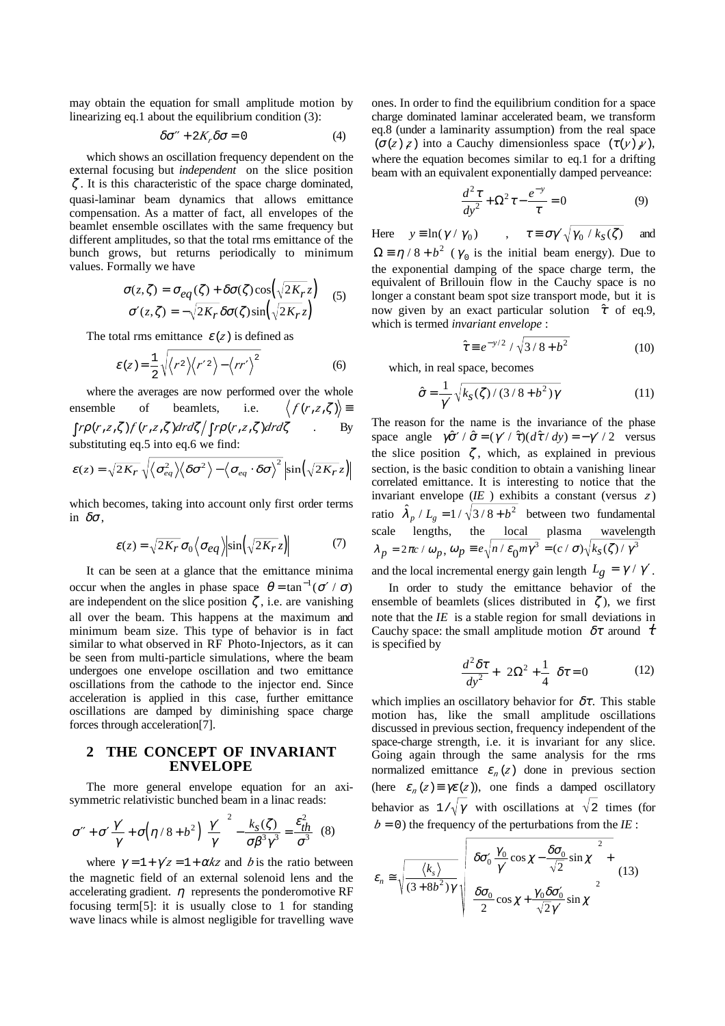may obtain the equation for small amplitude motion by linearizing eq.1 about the equilibrium condition (3):

$$
\delta \sigma'' + 2K_r \delta \sigma = 0 \tag{4}
$$

which shows an oscillation frequency dependent on the external focusing but *independent* on the slice position  $\zeta$ . It is this characteristic of the space charge dominated, quasi-laminar beam dynamics that allows emittance compensation. As a matter of fact, all envelopes of the beamlet ensemble oscillates with the same frequency but different amplitudes, so that the total rms emittance of the bunch grows, but returns periodically to minimum values. Formally we have

$$
\begin{cases}\n\sigma(z,\zeta) = \sigma_{eq}(\zeta) + \delta\sigma(\zeta)\cos(\sqrt{2K_r}z) \\
\sigma'(z,\zeta) = -\sqrt{2K_r}\delta\sigma(\zeta)\sin(\sqrt{2K_r}z)\n\end{cases}
$$
\n(5)

The total rms emittance  $\varepsilon(z)$  is defined as

$$
\mathcal{E}\left(z\right) = \frac{1}{2}\sqrt{\left\langle r^2 \right\rangle \left\langle r'^2 \right\rangle - \left\langle rr' \right\rangle^2} \tag{6}
$$

where the averages are now performed over the whole ensemble of beamlets, i.e.  $\langle f(r, z, \zeta) \rangle \equiv$  ∫*r*ρ(*r*,*z*,ζ)*<sup>f</sup>* (*r*,*z*,ζ)*drd*ζ ∫*r*ρ(*r*,*z*,ζ)*drd*ζ . By substituting eq.5 into eq.6 we find:

$$
\varepsilon(z) = \sqrt{2K_r} \sqrt{\langle \sigma_{eq}^2 \rangle \langle \delta \sigma^2 \rangle - \langle \sigma_{eq} \cdot \delta \sigma \rangle^2} \sin(\sqrt{2K_r} z)
$$

which becomes, taking into account only first order terms in  $\delta\sigma$ ,

$$
\varepsilon(z) = \sqrt{2K_r} \sigma_0 \left\langle \sigma_{eq} \right\rangle \left| \sin \left( \sqrt{2K_r} z \right) \right| \tag{7}
$$

It can be seen at a glance that the emittance minima occur when the angles in phase space  $\theta = \tan^{-1}(\sigma'/\sigma)$ are independent on the slice position  $\zeta$ , i.e. are vanishing all over the beam. This happens at the maximum and minimum beam size. This type of behavior is in fact similar to what observed in RF Photo-Injectors, as it can be seen from multi-particle simulations, where the beam undergoes one envelope oscillation and two emittance oscillations from the cathode to the injector end. Since acceleration is applied in this case, further emittance oscillations are damped by diminishing space charge forces through acceleration[7].

### **2 THE CONCEPT OF INVARIANT ENVELOPE**

The more general envelope equation for an axisymmetric relativistic bunched beam in a linac reads:

$$
\sigma'' + \sigma' \frac{\gamma'}{\gamma} + \sigma \left(\eta / 8 + b^2\right) \left(\frac{\gamma'}{\gamma}\right)^2 - \frac{k_S(\zeta)}{\sigma \beta^3 \gamma^3} = \frac{\varepsilon_{th}^2}{\sigma^3} \quad (8)
$$

where  $\gamma = 1 + \gamma'z = 1 + \alpha kz$  and *b* is the ratio between the magnetic field of an external solenoid lens and the accelerating gradient.  $\eta$  represents the ponderomotive RF focusing term[5]: it is usually close to 1 for standing wave linacs while is almost negligible for travelling wave ones. In order to find the equilibrium condition for a space charge dominated laminar accelerated beam, we transform eq.8 (under a laminarity assumption) from the real space ( $\sigma(z)$ , $z$ ) into a Cauchy dimensionless space  $(\tau(y), y)$ , where the equation becomes similar to eq.1 for a drifting beam with an equivalent exponentially damped perveance:

$$
\frac{d^2\tau}{dy^2} + \Omega^2\tau - \frac{e^{-y}}{\tau} = 0
$$
\n(9)

Here  $y \equiv \ln(\gamma / \gamma_0)$ ,  $\tau \equiv \sigma \gamma' \sqrt{\gamma_0 / k_S(\zeta)}$  and  $\Omega = \eta / 8 + b^2$  ( $\gamma_0$  is the initial beam energy). Due to the exponential damping of the space charge term, the equivalent of Brillouin flow in the Cauchy space is no longer a constant beam spot size transport mode, but it is now given by an exact particular solution  $\hat{\tau}$  of eq.9, which is termed *invariant envelope* :

$$
\hat{\tau} \equiv e^{-y/2} / \sqrt{3/8 + b^2}
$$
 (10)

which, in real space, becomes

$$
\hat{\sigma} = \frac{1}{\gamma'} \sqrt{k_S(\zeta)/(3/8 + b^2)\gamma}
$$
 (11)

The reason for the name is the invariance of the phase space angle  $\gamma \hat{\sigma}' / \hat{\sigma} = (\gamma' / \hat{\tau}) (d\hat{\tau} / dy) = -\gamma' / 2$  versus the slice position  $\zeta$ , which, as explained in previous section, is the basic condition to obtain a vanishing linear correlated emittance. It is interesting to notice that the invariant envelope (*IE* ) exhibits a constant (versus *<sup>z</sup>* ) ratio  $\hat{\lambda}_p / L_g = 1 / \sqrt{3/8 + b^2}$  between two fundamental scale lengths, the local plasma wavelength  $\lambda_p = 2\pi c / \omega_p, \omega_p \equiv e \sqrt{n / \varepsilon_0 m \gamma^3} = (c / \sigma) \sqrt{k_s(\zeta) / \gamma^3}$ and the local incremental energy gain length  $L_g = \gamma / \gamma'$ .

In order to study the emittance behavior of the ensemble of beamlets (slices distributed in  $\zeta$ ), we first note that the *IE* is a stable region for small deviations in Cauchy space: the small amplitude motion  $\delta\tau$  around  $\dot{\tau}$ is specified by

$$
\frac{d^2 \delta \tau}{dy^2} + \left(2\Omega^2 + \frac{1}{4}\right) \delta \tau = 0 \tag{12}
$$

which implies an oscillatory behavior for  $\delta\tau$ . This stable motion has, like the small amplitude oscillations discussed in previous section, frequency independent of the space-charge strength, i.e. it is invariant for any slice. Going again through the same analysis for the rms normalized emittance  $\varepsilon_n(z)$  done in previous section (here  $\varepsilon_n(z) \equiv \gamma \varepsilon(z)$ ), one finds a damped oscillatory behavior as  $1/\sqrt{\gamma}$  with oscillations at  $\sqrt{2}$  times (for  $b = 0$ ) the frequency of the perturbations from the *IE* :

$$
\varepsilon_n \approx \sqrt{\frac{\langle k_s \rangle}{(3 + 8b^2)\gamma}} \sqrt{\left( \frac{\delta \sigma_0'}{\gamma'} \cos \chi - \frac{\delta \sigma_0}{\sqrt{2}} \sin \chi \right)^2 + \frac{\langle k_s \rangle}{(13)}}
$$
\n
$$
\left( \frac{\delta \sigma_0}{2} \cos \chi + \frac{\gamma_0 \delta \sigma_0'}{\sqrt{2} \gamma'} \sin \chi \right)^2}
$$